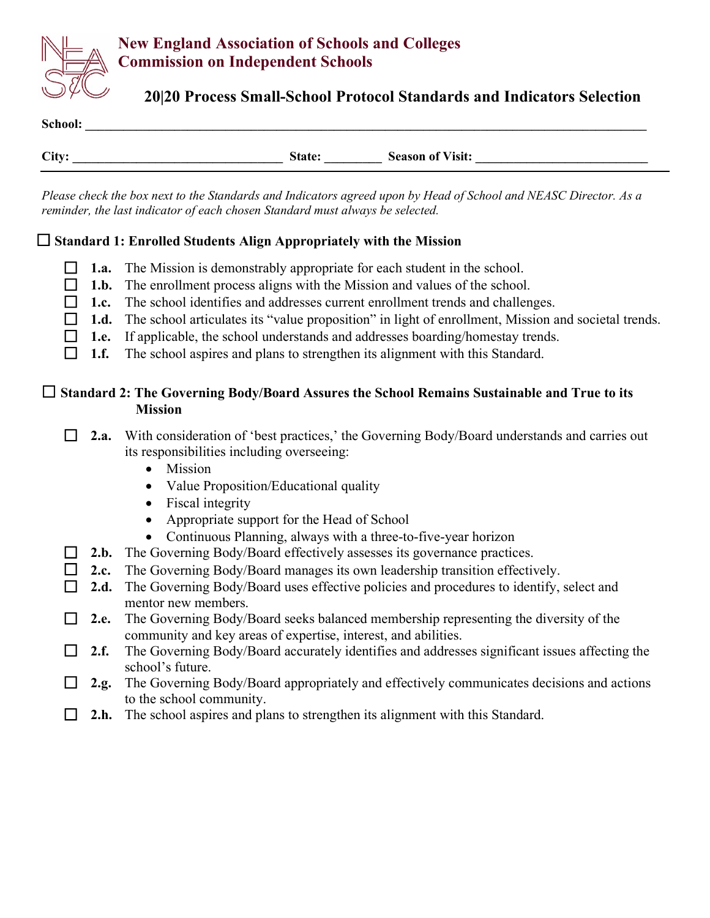

# **New England Association of Schools and Colleges Commission on Independent Schools**

# **20|20 Process Small-School Protocol Standards and Indicators Selection**

| School: |               |                         |
|---------|---------------|-------------------------|
|         |               |                         |
| City:   | <b>State:</b> | <b>Season of Visit:</b> |

*Please check the box next to the Standards and Indicators agreed upon by Head of School and NEASC Director. As a reminder, the last indicator of each chosen Standard must always be selected.*

#### **Standard 1: Enrolled Students Align Appropriately with the Mission**

- **1.a.** The Mission is demonstrably appropriate for each student in the school.
- **1.b.** The enrollment process aligns with the Mission and values of the school.
- **1.c.** The school identifies and addresses current enrollment trends and challenges.
- **1.d.** The school articulates its "value proposition" in light of enrollment, Mission and societal trends.
- **1.e.** If applicable, the school understands and addresses boarding/homestay trends.
- **1.f.** The school aspires and plans to strengthen its alignment with this Standard.

#### **Standard 2: The Governing Body/Board Assures the School Remains Sustainable and True to its Mission**

- □ 2.a. With consideration of 'best practices,' the Governing Body/Board understands and carries out its responsibilities including overseeing:
	- Mission
	- Value Proposition/Educational quality
	- Fiscal integrity
	- Appropriate support for the Head of School
	- Continuous Planning, always with a three-to-five-year horizon
- **2.b.** The Governing Body/Board effectively assesses its governance practices.
- **2.c.** The Governing Body/Board manages its own leadership transition effectively.
- **2.d.** The Governing Body/Board uses effective policies and procedures to identify, select and mentor new members.
- **2.e.** The Governing Body/Board seeks balanced membership representing the diversity of the community and key areas of expertise, interest, and abilities.
- **2.f.** The Governing Body/Board accurately identifies and addresses significant issues affecting the school's future.
- **2.g.** The Governing Body/Board appropriately and effectively communicates decisions and actions to the school community.
- **2.h.** The school aspires and plans to strengthen its alignment with this Standard.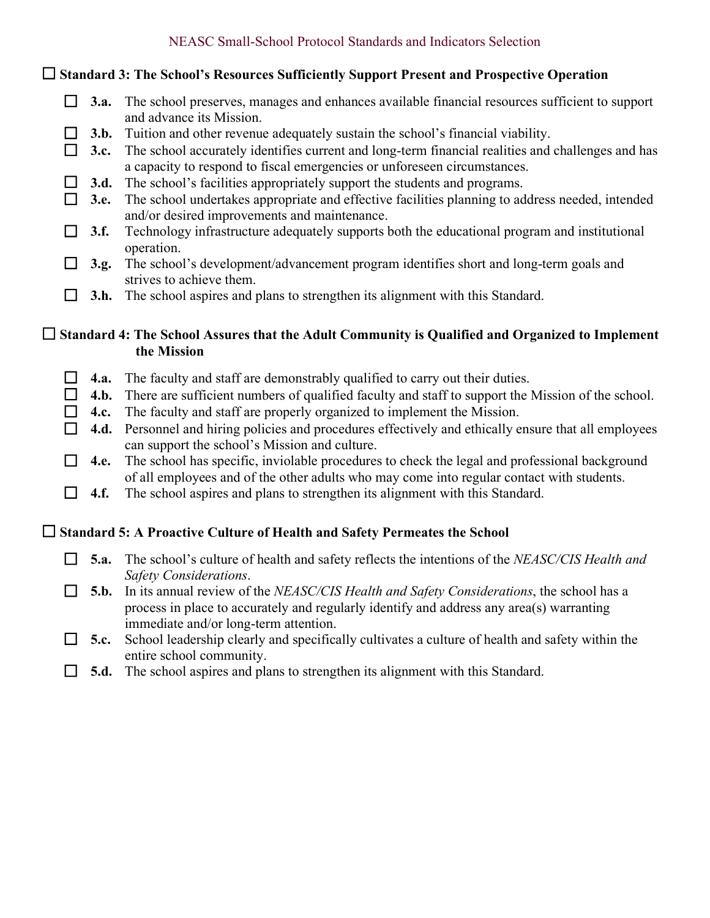| NEASC Small-School Protocol Standards and Indicators Selection |  |
|----------------------------------------------------------------|--|
|                                                                |  |

**Standard 3: The School's Resources Sufficiently Support Present and Prospective Operation**

|  | $\Box$ 3.a. The school preserves, manages and enhances available financial resources sufficient to support |
|--|------------------------------------------------------------------------------------------------------------|
|  | and advance its Mission.                                                                                   |

**3.b.** Tuition and other revenue adequately sustain the school's financial viability.

**3.c.** The school accurately identifies current and long-term financial realities and challenges and has a capacity to respond to fiscal emergencies or unforeseen circumstances.

**3.d.** The school's facilities appropriately support the students and programs.

|  | $\Box$ 3.e. The school undertakes appropriate and effective facilities planning to address needed, intended |
|--|-------------------------------------------------------------------------------------------------------------|
|  | and/or desired improvements and maintenance.                                                                |

- **3.f.** Technology infrastructure adequately supports both the educational program and institutional operation.
- **3.g.** The school's development/advancement program identifies short and long-term goals and strives to achieve them.
- **3.h.** The school aspires and plans to strengthen its alignment with this Standard.

#### **Standard 4: The School Assures that the Adult Community is Qualified and Organized to Implement the Mission**

- **4.a.** The faculty and staff are demonstrably qualified to carry out their duties.
- □ 4.b. There are sufficient numbers of qualified faculty and staff to support the Mission of the school.
- **4.c.** The faculty and staff are properly organized to implement the Mission.
- □ 4.d. Personnel and hiring policies and procedures effectively and ethically ensure that all employees can support the school's Mission and culture.

□ 4.e. The school has specific, inviolable procedures to check the legal and professional background of all employees and of the other adults who may come into regular contact with students.

**4.f.** The school aspires and plans to strengthen its alignment with this Standard.

## **Standard 5: A Proactive Culture of Health and Safety Permeates the School**

- **5.a.** The school's culture of health and safety reflects the intentions of the *NEASC/CIS Health and Safety Considerations*.
- **5.b.** In its annual review of the *NEASC/CIS Health and Safety Considerations*, the school has a process in place to accurately and regularly identify and address any area(s) warranting immediate and/or long-term attention.
- **5.c.** School leadership clearly and specifically cultivates a culture of health and safety within the entire school community.
- **5.d.** The school aspires and plans to strengthen its alignment with this Standard.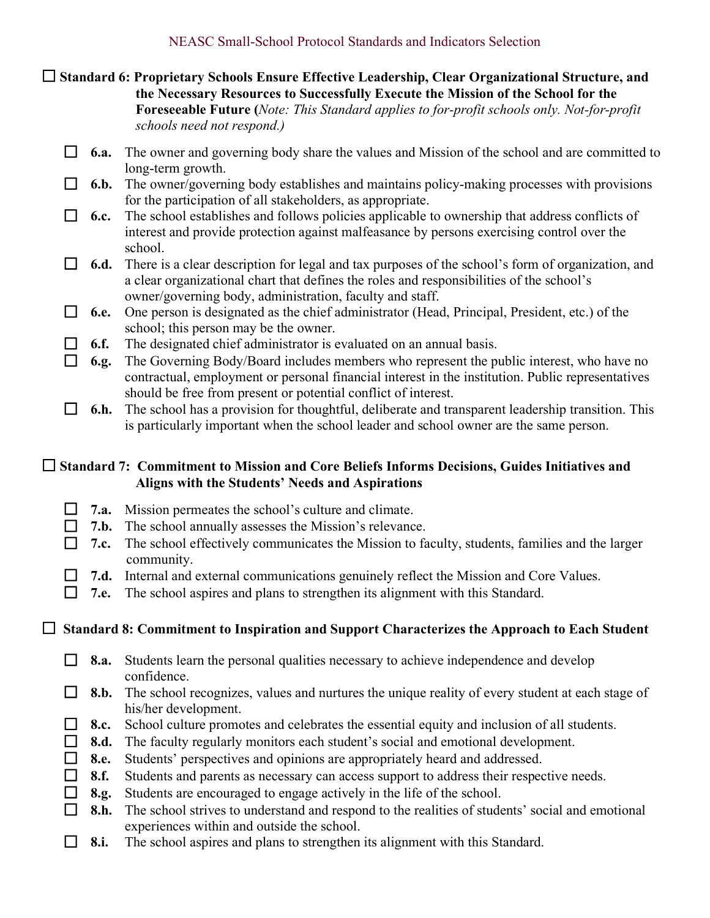**Standard 6: Proprietary Schools Ensure Effective Leadership, Clear Organizational Structure, and the Necessary Resources to Successfully Execute the Mission of the School for the Foreseeable Future (***Note: This Standard applies to for-profit schools only. Not-for-profit schools need not respond.)* 

- **6.a.** The owner and governing body share the values and Mission of the school and are committed to long-term growth.
- **6.b.** The owner/governing body establishes and maintains policy-making processes with provisions for the participation of all stakeholders, as appropriate.
- **6.c.** The school establishes and follows policies applicable to ownership that address conflicts of interest and provide protection against malfeasance by persons exercising control over the school.
- **6.d.** There is a clear description for legal and tax purposes of the school's form of organization, and a clear organizational chart that defines the roles and responsibilities of the school's owner/governing body, administration, faculty and staff.
- **6.e.** One person is designated as the chief administrator (Head, Principal, President, etc.) of the school; this person may be the owner.
- **6.f.** The designated chief administrator is evaluated on an annual basis.
- **6.g.** The Governing Body/Board includes members who represent the public interest, who have no contractual, employment or personal financial interest in the institution. Public representatives should be free from present or potential conflict of interest.

 **6.h.** The school has a provision for thoughtful, deliberate and transparent leadership transition. This is particularly important when the school leader and school owner are the same person.

## **Standard 7: Commitment to Mission and Core Beliefs Informs Decisions, Guides Initiatives and Aligns with the Students' Needs and Aspirations**

- **7.a.** Mission permeates the school's culture and climate.
- □ 7.b. The school annually assesses the Mission's relevance.
- □ 7.c. The school effectively communicates the Mission to faculty, students, families and the larger community.

□ 7.**d.** Internal and external communications genuinely reflect the Mission and Core Values.

**7.e.** The school aspires and plans to strengthen its alignment with this Standard.

## **Standard 8: Commitment to Inspiration and Support Characterizes the Approach to Each Student**

- **8.a.** Students learn the personal qualities necessary to achieve independence and develop confidence.
- **8.b.** The school recognizes, values and nurtures the unique reality of every student at each stage of his/her development.
- □ **8.c.** School culture promotes and celebrates the essential equity and inclusion of all students.
- **8.d.** The faculty regularly monitors each student's social and emotional development.
- **8.e.** Students' perspectives and opinions are appropriately heard and addressed.
- **8.f.** Students and parents as necessary can access support to address their respective needs.
- **8.g.** Students are encouraged to engage actively in the life of the school.
- **8.h.** The school strives to understand and respond to the realities of students' social and emotional experiences within and outside the school.
- **8.i.** The school aspires and plans to strengthen its alignment with this Standard.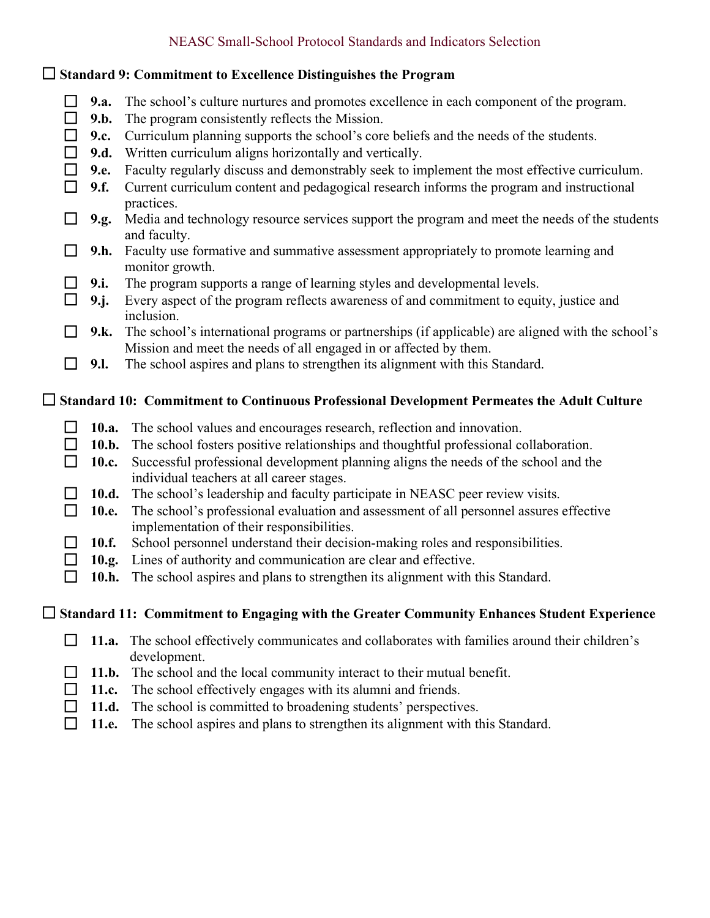# NEASC Small-School Protocol Standards and Indicators Selection

| $\Box$ Standard 9: Commitment to Excellence Distinguishes the Program                             |                     |                                                                                                                                                   |  |  |
|---------------------------------------------------------------------------------------------------|---------------------|---------------------------------------------------------------------------------------------------------------------------------------------------|--|--|
| $\Box$<br>$\Box$                                                                                  | <b>9.a.</b><br>9.b. | The school's culture nurtures and promotes excellence in each component of the program.<br>The program consistently reflects the Mission.         |  |  |
| $\Box$                                                                                            | 9.c.                | Curriculum planning supports the school's core beliefs and the needs of the students.                                                             |  |  |
| $\Box$                                                                                            | 9.d.                | Written curriculum aligns horizontally and vertically.                                                                                            |  |  |
| $\Box$                                                                                            | 9.e.                | Faculty regularly discuss and demonstrably seek to implement the most effective curriculum.                                                       |  |  |
| $\Box$                                                                                            | 9.f.                | Current curriculum content and pedagogical research informs the program and instructional<br>practices.                                           |  |  |
| $\Box$                                                                                            | 9.g.                | Media and technology resource services support the program and meet the needs of the students<br>and faculty.                                     |  |  |
| $\Box$                                                                                            | 9.h.                | Faculty use formative and summative assessment appropriately to promote learning and<br>monitor growth.                                           |  |  |
| $\Box$                                                                                            | 9.i.                | The program supports a range of learning styles and developmental levels.                                                                         |  |  |
| $\Box$                                                                                            | $9$ .j.             | Every aspect of the program reflects awareness of and commitment to equity, justice and<br>inclusion.                                             |  |  |
|                                                                                                   | 9.k.                | The school's international programs or partnerships (if applicable) are aligned with the school's                                                 |  |  |
| $\Box$                                                                                            | <b>9.I.</b>         | Mission and meet the needs of all engaged in or affected by them.<br>The school aspires and plans to strengthen its alignment with this Standard. |  |  |
| $\Box$ Standard 10: Commitment to Continuous Professional Development Permeates the Adult Culture |                     |                                                                                                                                                   |  |  |
|                                                                                                   |                     |                                                                                                                                                   |  |  |
| ⊔                                                                                                 | 10.a.               | The school values and encourages research, reflection and innovation.                                                                             |  |  |
| $\Box$                                                                                            |                     | 10.b. The school fosters positive relationships and thoughtful professional collaboration.                                                        |  |  |
| $\Box$                                                                                            | 10.c.               | Successful professional development planning aligns the needs of the school and the<br>individual teachers at all career stages.                  |  |  |
| $\Box$                                                                                            | 10.d.               | The school's leadership and faculty participate in NEASC peer review visits.                                                                      |  |  |
| □                                                                                                 | 10.e.               | The school's professional evaluation and assessment of all personnel assures effective                                                            |  |  |
| $\Box$                                                                                            | 10.f.               | implementation of their responsibilities.<br>School personnel understand their decision-making roles and responsibilities.                        |  |  |
|                                                                                                   | 10.g.               | Lines of authority and communication are clear and effective.                                                                                     |  |  |
|                                                                                                   |                     | 10.h. The school aspires and plans to strengthen its alignment with this Standard.                                                                |  |  |
|                                                                                                   |                     | Standard 11: Commitment to Engaging with the Greater Community Enhances Student Experience                                                        |  |  |
| ΙI                                                                                                | 11.a.               | The school effectively communicates and collaborates with families around their children's                                                        |  |  |
|                                                                                                   | 11.b.               | development.<br>The school and the local community interact to their mutual benefit.                                                              |  |  |
|                                                                                                   | 11.c.               | The school effectively engages with its alumni and friends.                                                                                       |  |  |

**11.e.** The school aspires and plans to strengthen its alignment with this Standard.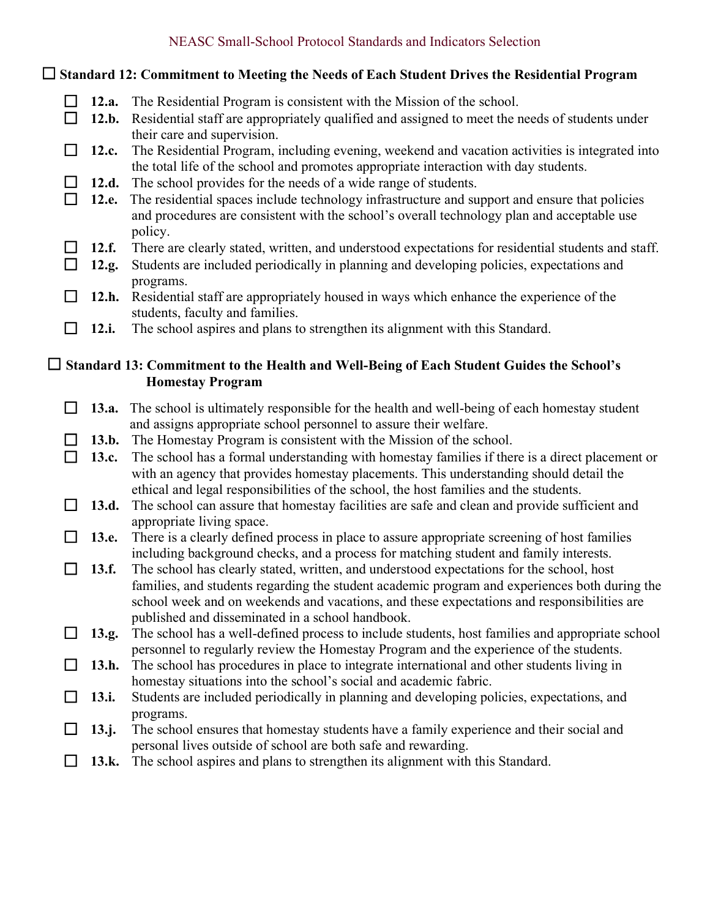# NEASC Small-School Protocol Standards and Indicators Selection

| $\Box$ Standard 12: Commitment to Meeting the Needs of Each Student Drives the Residential Program |          |                                                                                                                                                                                                                                                                                   |  |  |
|----------------------------------------------------------------------------------------------------|----------|-----------------------------------------------------------------------------------------------------------------------------------------------------------------------------------------------------------------------------------------------------------------------------------|--|--|
| ப                                                                                                  | 12.a.    | The Residential Program is consistent with the Mission of the school.                                                                                                                                                                                                             |  |  |
| $\Box$                                                                                             |          | 12.b. Residential staff are appropriately qualified and assigned to meet the needs of students under                                                                                                                                                                              |  |  |
| ப                                                                                                  | 12.c.    | their care and supervision.<br>The Residential Program, including evening, weekend and vacation activities is integrated into<br>the total life of the school and promotes appropriate interaction with day students.                                                             |  |  |
|                                                                                                    | 12.d.    | The school provides for the needs of a wide range of students.                                                                                                                                                                                                                    |  |  |
| П                                                                                                  | 12.e.    | The residential spaces include technology infrastructure and support and ensure that policies<br>and procedures are consistent with the school's overall technology plan and acceptable use<br>policy.                                                                            |  |  |
|                                                                                                    | 12.f.    | There are clearly stated, written, and understood expectations for residential students and staff.                                                                                                                                                                                |  |  |
| $\Box$                                                                                             | 12.g.    | Students are included periodically in planning and developing policies, expectations and<br>programs.                                                                                                                                                                             |  |  |
| $\Box$                                                                                             | 12.h.    | Residential staff are appropriately housed in ways which enhance the experience of the<br>students, faculty and families.                                                                                                                                                         |  |  |
| ப                                                                                                  | 12.i.    | The school aspires and plans to strengthen its alignment with this Standard.                                                                                                                                                                                                      |  |  |
|                                                                                                    |          | $\Box$ Standard 13: Commitment to the Health and Well-Being of Each Student Guides the School's                                                                                                                                                                                   |  |  |
|                                                                                                    |          | <b>Homestay Program</b>                                                                                                                                                                                                                                                           |  |  |
| $\mathsf{L}$                                                                                       | 13.a.    | The school is ultimately responsible for the health and well-being of each homestay student                                                                                                                                                                                       |  |  |
|                                                                                                    |          | and assigns appropriate school personnel to assure their welfare.                                                                                                                                                                                                                 |  |  |
| П                                                                                                  | 13.b.    | The Homestay Program is consistent with the Mission of the school.                                                                                                                                                                                                                |  |  |
|                                                                                                    | 13.c.    | The school has a formal understanding with homestay families if there is a direct placement or<br>with an agency that provides homestay placements. This understanding should detail the<br>ethical and legal responsibilities of the school, the host families and the students. |  |  |
| $\Box$                                                                                             | 13.d.    | The school can assure that homestay facilities are safe and clean and provide sufficient and                                                                                                                                                                                      |  |  |
|                                                                                                    |          | appropriate living space.                                                                                                                                                                                                                                                         |  |  |
| $\Box$                                                                                             | 13.e.    | There is a clearly defined process in place to assure appropriate screening of host families<br>including background checks, and a process for matching student and family interests.                                                                                             |  |  |
| $\Box$                                                                                             | 13.f.    | The school has clearly stated, written, and understood expectations for the school, host<br>families, and students regarding the student academic program and experiences both during the                                                                                         |  |  |
|                                                                                                    |          | school week and on weekends and vacations, and these expectations and responsibilities are                                                                                                                                                                                        |  |  |
|                                                                                                    |          | published and disseminated in a school handbook.                                                                                                                                                                                                                                  |  |  |
|                                                                                                    | 13.g.    | The school has a well-defined process to include students, host families and appropriate school<br>personnel to regularly review the Homestay Program and the experience of the students.                                                                                         |  |  |
|                                                                                                    | 13.h.    | The school has procedures in place to integrate international and other students living in                                                                                                                                                                                        |  |  |
|                                                                                                    |          | homestay situations into the school's social and academic fabric.                                                                                                                                                                                                                 |  |  |
|                                                                                                    | 13.i.    | Students are included periodically in planning and developing policies, expectations, and<br>programs.                                                                                                                                                                            |  |  |
| ப                                                                                                  | $13$ .j. | The school ensures that homestay students have a family experience and their social and                                                                                                                                                                                           |  |  |
|                                                                                                    | 13.k.    | personal lives outside of school are both safe and rewarding.<br>The school aspires and plans to strengthen its alignment with this Standard.                                                                                                                                     |  |  |
|                                                                                                    |          |                                                                                                                                                                                                                                                                                   |  |  |